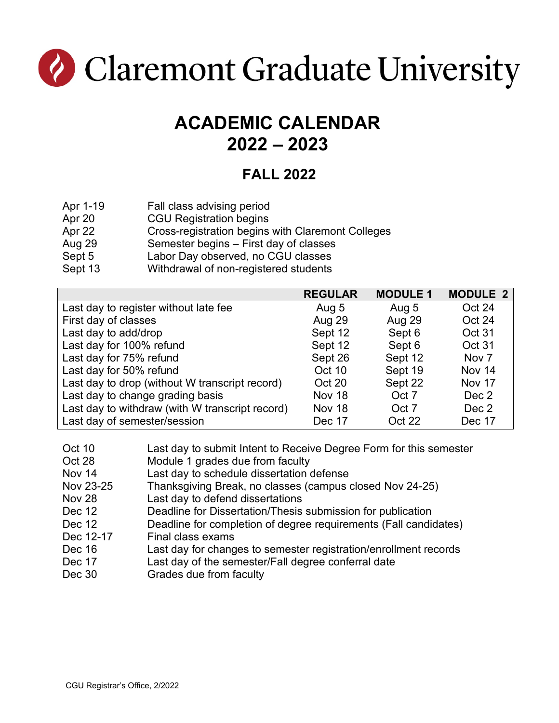

## **ACADEMIC CALENDAR 2022 – 2023**

#### **FALL 2022**

- Apr 1-19 Fall class advising period
- Apr 20 CGU Registration begins
- Apr 22 Cross-registration begins with Claremont Colleges
- Aug 29 Semester begins – First day of classes
- Sept 5 Labor Day observed, no CGU classes
- Sept 13 Withdrawal of non-registered students

|                                                 | <b>REGULAR</b> | <b>MODULE 1</b> | <b>MODULE 2</b>  |
|-------------------------------------------------|----------------|-----------------|------------------|
| Last day to register without late fee           | Aug 5          | Aug 5           | Oct 24           |
| First day of classes                            | Aug 29         | <b>Aug 29</b>   | Oct 24           |
| Last day to add/drop                            | Sept 12        | Sept 6          | Oct 31           |
| Last day for 100% refund                        | Sept 12        | Sept 6          | Oct 31           |
| Last day for 75% refund                         | Sept 26        | Sept 12         | Nov <sub>7</sub> |
| Last day for 50% refund                         | Oct 10         | Sept 19         | Nov 14           |
| Last day to drop (without W transcript record)  | Oct 20         | Sept 22         | Nov 17           |
| Last day to change grading basis                | Nov 18         | Oct 7           | Dec 2            |
| Last day to withdraw (with W transcript record) | Nov 18         | Oct 7           | Dec 2            |
| Last day of semester/session                    | Dec 17         | Oct 22          | Dec 17           |

- Oct 10 Last day to submit Intent to Receive Degree Form for this semester
- Oct 28 Module 1 grades due from faculty
- Nov 14 Last day to schedule dissertation defense
- Nov 23-25 Thanksgiving Break, no classes (campus closed Nov 24-25)
- Nov 28 Last day to defend dissertations
- Dec 12 Deadline for Dissertation/Thesis submission for publication
- Dec 12 Deadline for completion of degree requirements (Fall candidates)
- Dec 12-17 Final class exams
- Dec 16 Last day for changes to semester registration/enrollment records
- Dec 17 Last day of the semester/Fall degree conferral date
- Dec 30 Grades due from faculty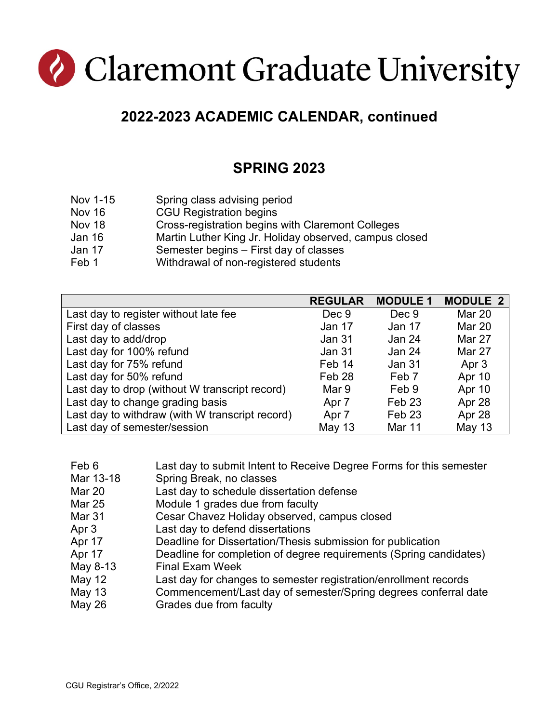# Claremont Graduate University

### **2022-2023 ACADEMIC CALENDAR, continued**

#### **SPRING 2023**

- Nov 1-15 Spring class advising period
- Nov 16 CGU Registration begins
- Nov 18 Cross-registration begins with Claremont Colleges
- Jan 16 Martin Luther King Jr. Holiday observed, campus closed
- Jan 17 Semester begins – First day of classes
- Feb 1 Withdrawal of non-registered students

|                                                 | <b>REGULAR</b>    | <b>MODULE 1</b>   | <b>MODULE 2</b> |
|-------------------------------------------------|-------------------|-------------------|-----------------|
| Last day to register without late fee           | Dec 9             | Dec 9             | <b>Mar 20</b>   |
| First day of classes                            | Jan 17            | Jan 17            | <b>Mar 20</b>   |
| Last day to add/drop                            | Jan 31            | Jan 24            | Mar 27          |
| Last day for 100% refund                        | Jan 31            | Jan 24            | Mar 27          |
| Last day for 75% refund                         | Feb 14            | Jan 31            | Apr 3           |
| Last day for 50% refund                         | Feb <sub>28</sub> | Feb <sub>7</sub>  | Apr 10          |
| Last day to drop (without W transcript record)  | Mar 9             | Feb 9             | Apr 10          |
| Last day to change grading basis                | Apr 7             | Feb <sub>23</sub> | Apr 28          |
| Last day to withdraw (with W transcript record) | Apr 7             | Feb <sub>23</sub> | Apr 28          |
| Last day of semester/session                    | <b>May 13</b>     | <b>Mar 11</b>     | May 13          |

| Feb 6<br>Last day to submit Intent to Receive Degree Forms for this semester |  |
|------------------------------------------------------------------------------|--|
|------------------------------------------------------------------------------|--|

- Mar 13-18 Spring Break, no classes
- Mar 20 Last day to schedule dissertation defense
- Mar 25 Module 1 grades due from faculty
- Mar 31 Cesar Chavez Holiday observed, campus closed
- Apr 3 Last day to defend dissertations
- Apr 17 Deadline for Dissertation/Thesis submission for publication
- Apr 17 Deadline for completion of degree requirements (Spring candidates)
- May 8-13 Final Exam Week
- May 12 Last day for changes to semester registration/enrollment records
- May 13 Commencement/Last day of semester/Spring degrees conferral date
- May 26 Grades due from faculty